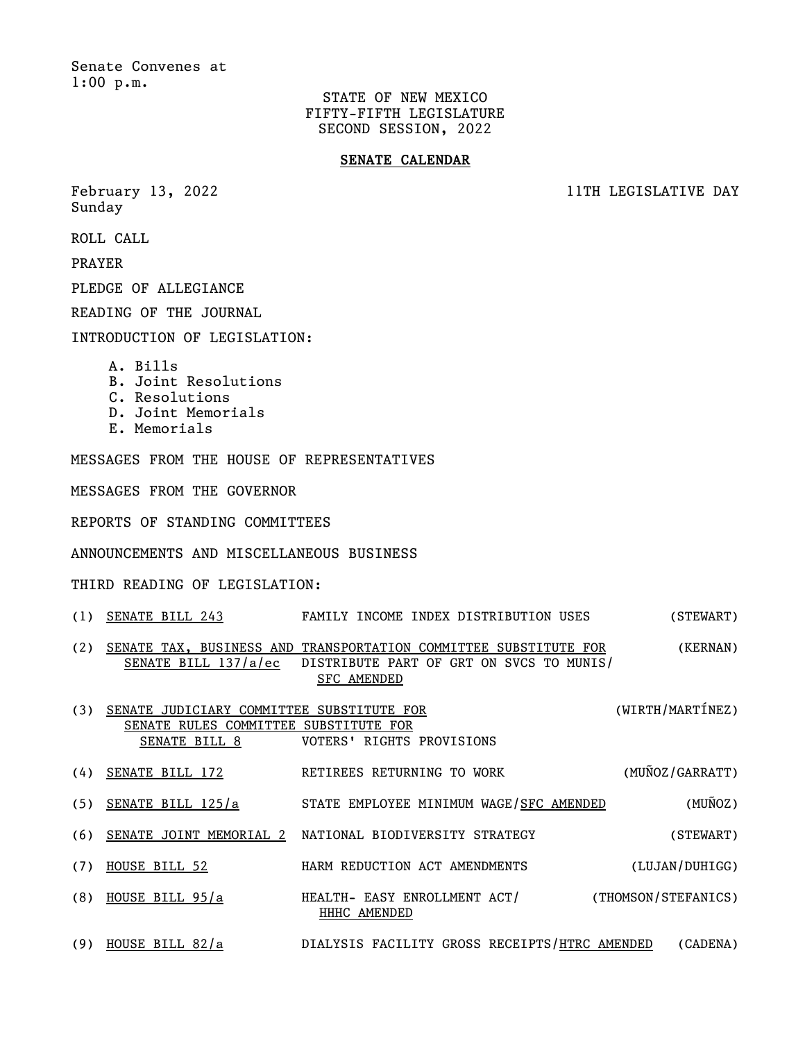Senate Convenes at 1:00 p.m.

> STATE OF NEW MEXICO FIFTY-FIFTH LEGISLATURE SECOND SESSION, 2022

## **SENATE CALENDAR**

Sunday

February 13, 2022 **11TH LEGISLATIVE DAY** 

ROLL CALL

PRAYER

PLEDGE OF ALLEGIANCE

READING OF THE JOURNAL

INTRODUCTION OF LEGISLATION:

- A. Bills
- B. Joint Resolutions
- C. Resolutions
- D. Joint Memorials
- E. Memorials

MESSAGES FROM THE HOUSE OF REPRESENTATIVES

MESSAGES FROM THE GOVERNOR

REPORTS OF STANDING COMMITTEES

ANNOUNCEMENTS AND MISCELLANEOUS BUSINESS

THIRD READING OF LEGISLATION:

- (1) SENATE BILL 243 FAMILY INCOME INDEX DISTRIBUTION USES (STEWART)
- (2) SENATE TAX, BUSINESS AND TRANSPORTATION COMMITTEE SUBSTITUTE FOR (KERNAN) SENATE BILL 137/a/ec DISTRIBUTE PART OF GRT ON SVCS TO MUNIS/ SFC AMENDED
- (3) SENATE JUDICIARY COMMITTEE SUBSTITUTE FOR (WIRTH/MARTÍNEZ) SENATE RULES COMMITTEE SUBSTITUTE FOR SENATE BILL 8 VOTERS' RIGHTS PROVISIONS
- (4) SENATE BILL 172 RETIREES RETURNING TO WORK (MUÑOZ/GARRATT)
- (5) SENATE BILL 125/a STATE EMPLOYEE MINIMUM WAGE/SFC AMENDED (MUÑOZ)
- (6) SENATE JOINT MEMORIAL 2 NATIONAL BIODIVERSITY STRATEGY (STEWART)
- (7) HOUSE BILL 52 HARM REDUCTION ACT AMENDMENTS (LUJAN/DUHIGG)
- (8) HOUSE BILL 95/a HEALTH- EASY ENROLLMENT ACT/ (THOMSON/STEFANICS) HHHC AMENDED
- (9) HOUSE BILL 82/a DIALYSIS FACILITY GROSS RECEIPTS/HTRC AMENDED (CADENA)